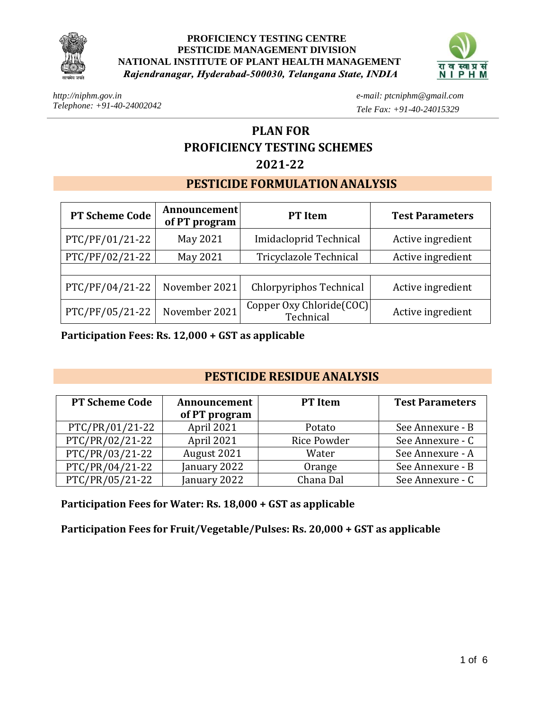



*[http://niphm.gov.in](http://niphm.gov.in/) Telephone: +91-40-24002042* *e-mail: [ptcniphm@gmail.com](mailto:ptcniphm@gmail.com) Tele Fax: +91-40-24015329*

# **PLAN FOR PROFICIENCY TESTING SCHEMES 2021-22**

### **PESTICIDE FORMULATIONANALYSIS**

| <b>PT Scheme Code</b> | <b>Announcement</b><br>of PT program | <b>PT</b> Item                        | <b>Test Parameters</b> |  |
|-----------------------|--------------------------------------|---------------------------------------|------------------------|--|
| PTC/PF/01/21-22       | May 2021                             | Imidacloprid Technical                | Active ingredient      |  |
| PTC/PF/02/21-22       | May 2021                             | Tricyclazole Technical                | Active ingredient      |  |
|                       |                                      |                                       |                        |  |
| PTC/PF/04/21-22       | November 2021                        | Chlorpyriphos Technical               | Active ingredient      |  |
| PTC/PF/05/21-22       | November 2021                        | Copper Oxy Chloride(COC)<br>Technical | Active ingredient      |  |

**Participation Fees: Rs. 12,000 + GST as applicable**

## **PESTICIDE RESIDUE ANALYSIS**

| <b>PT Scheme Code</b> | Announcement<br>of PT program | <b>PT</b> Item | <b>Test Parameters</b> |
|-----------------------|-------------------------------|----------------|------------------------|
| PTC/PR/01/21-22       | April 2021                    | Potato         | See Annexure - B       |
| PTC/PR/02/21-22       | April 2021                    | Rice Powder    | See Annexure - C       |
| PTC/PR/03/21-22       | August 2021                   | Water          | See Annexure - A       |
| PTC/PR/04/21-22       | January 2022                  | Orange         | See Annexure - B       |
| PTC/PR/05/21-22       | January 2022                  | Chana Dal      | See Annexure - C       |

**Participation Fees for Water: Rs. 18,000 + GST as applicable**

**Participation Fees for Fruit/Vegetable/Pulses: Rs. 20,000 + GST as applicable**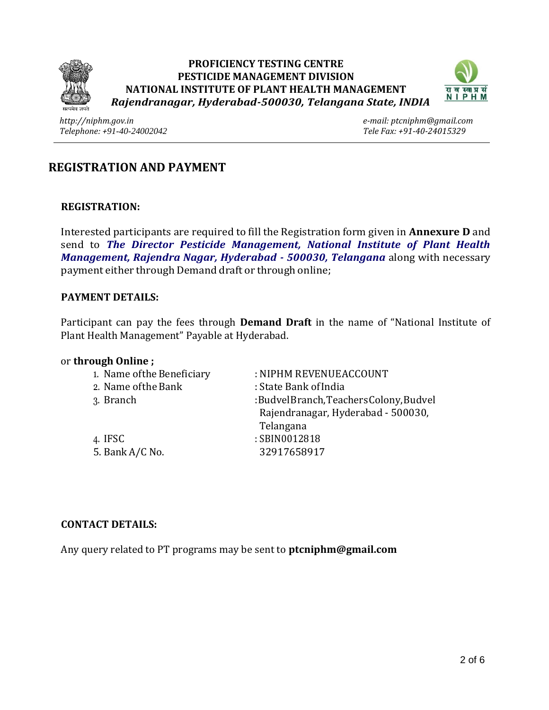

#### **PROFICIENCY TESTING CENTRE PESTICIDE MANAGEMENT DIVISION NATIONAL INSTITUTE OF PLANT HEALTH MANAGEMENT** *Rajendranagar, Hyderabad-500030, Telangana State, INDIA*



*[http://niphm.gov.in](http://niphm.gov.in/) Telephone: +91-40-24002042*

*e-mail: [ptcniphm@gmail.com](mailto:ptcniphm@gmail.com) Tele Fax: +91-40-24015329*

### **REGISTRATION AND PAYMENT**

#### **REGISTRATION:**

Interested participants are required to fill the Registration form given in **Annexure D** and send to *The Director Pesticide Management, National Institute of Plant Health Management, Rajendra Nagar, Hyderabad - 500030, Telangana* along with necessary payment either through Demand draft or through online;

#### **PAYMENT DETAILS:**

Participant can pay the fees through **Demand Draft** in the name of "National Institute of Plant Health Management" Payable at Hyderabad.

#### or **through Online ;**

| 1. Name of the Beneficiary | : NIPHM REVENUE ACCOUNT                |
|----------------------------|----------------------------------------|
| 2. Name of the Bank        | : State Bank of India                  |
| 3. Branch                  | :BudvelBranch, Teachers Colony, Budvel |
|                            | Rajendranagar, Hyderabad - 500030,     |
|                            | Telangana                              |
| 4. IFSC                    | : SBIN0012818                          |
| 5. Bank A/C No.            | 32917658917                            |
|                            |                                        |

#### **CONTACT DETAILS:**

Any query related to PT programs may be sent to **[ptcniphm@gmail.com](mailto:ptcniphm@gmail.com)**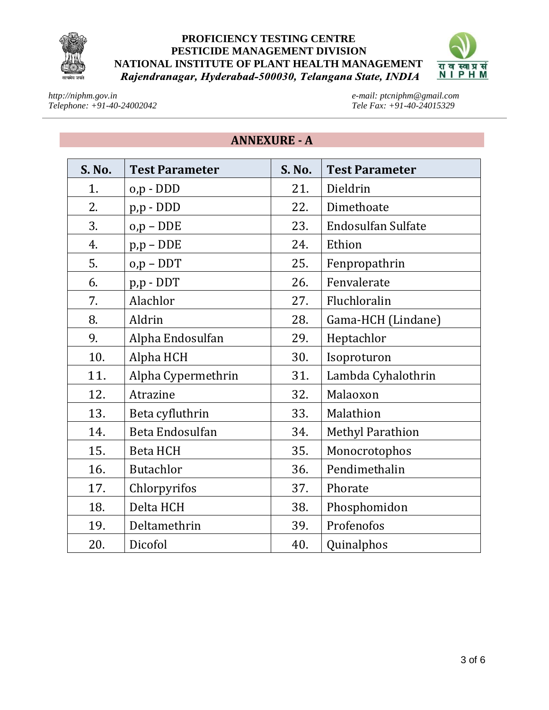



*[http://niphm.gov.in](http://niphm.gov.in/) Telephone: +91-40-24002042* *e-mail: [ptcniphm@gmail.com](mailto:ptcniphm@gmail.com)  Tele Fax: +91-40-24015329*

### **ANNEXURE - A**

| <b>S. No.</b> | <b>Test Parameter</b> | <b>S. No.</b> | <b>Test Parameter</b>   |
|---------------|-----------------------|---------------|-------------------------|
| 1.            | o,p - DDD             | 21.           | Dieldrin                |
| 2.            | p,p - DDD             | 22.           | Dimethoate              |
| 3.            | $o,p - DDE$           | 23.           | Endosulfan Sulfate      |
| 4.            | $p, p - DDE$          | 24.           | Ethion                  |
| 5.            | $o,p - DDT$           | 25.           | Fenpropathrin           |
| 6.            | p,p - DDT             | 26.           | Fenvalerate             |
| 7.            | Alachlor              | 27.           | Fluchloralin            |
| 8.            | Aldrin                | 28.           | Gama-HCH (Lindane)      |
| 9.            | Alpha Endosulfan      | 29.           | Heptachlor              |
| 10.           | Alpha HCH             | 30.           | Isoproturon             |
| 11.           | Alpha Cypermethrin    | 31.           | Lambda Cyhalothrin      |
| 12.           | Atrazine              | 32.           | Malaoxon                |
| 13.           | Beta cyfluthrin       | 33.           | Malathion               |
| 14.           | Beta Endosulfan       | 34.           | <b>Methyl Parathion</b> |
| 15.           | <b>Beta HCH</b>       | 35.           | Monocrotophos           |
| 16.           | <b>Butachlor</b>      | 36.           | Pendimethalin           |
| 17.           | Chlorpyrifos          | 37.           | Phorate                 |
| 18.           | Delta HCH             | 38.           | Phosphomidon            |
| 19.           | Deltamethrin          | 39.           | Profenofos              |
| 20.           | Dicofol               | 40.           | Quinalphos              |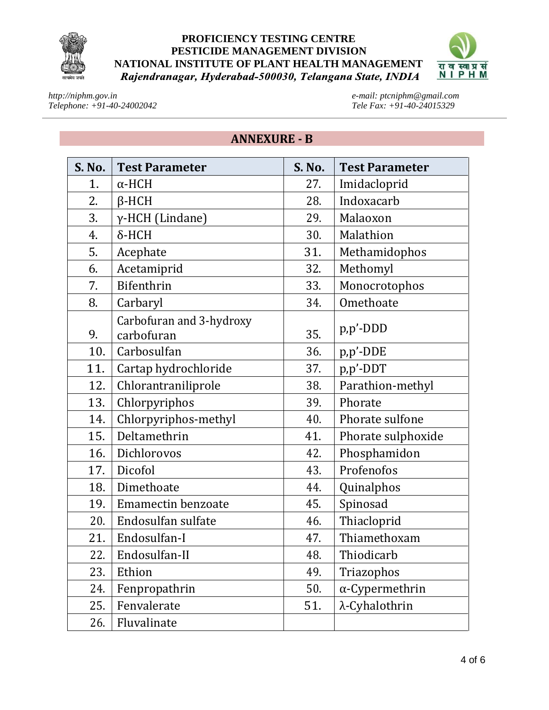



*[http://niphm.gov.in](http://niphm.gov.in/) Telephone: +91-40-24002042* *e-mail: [ptcniphm@gmail.com](mailto:ptcniphm@gmail.com)  Tele Fax: +91-40-24015329*

### **ANNEXURE - B**

| <b>S. No.</b> | <b>Test Parameter</b>                  | <b>S. No.</b> | <b>Test Parameter</b>  |
|---------------|----------------------------------------|---------------|------------------------|
| 1.            | $\alpha$ -HCH                          | 27.           | Imidacloprid           |
| 2.            | $\beta$ -HCH                           | 28.           | Indoxacarb             |
| 3.            | $\gamma$ -HCH (Lindane)                | 29.           | Malaoxon               |
| 4.            | $\delta$ -HCH                          | 30.           | Malathion              |
| 5.            | Acephate                               | 31.           | Methamidophos          |
| 6.            | Acetamiprid                            | 32.           | Methomyl               |
| 7.            | Bifenthrin                             | 33.           | Monocrotophos          |
| 8.            | Carbaryl                               | 34.           | Omethoate              |
| 9.            | Carbofuran and 3-hydroxy<br>carbofuran | 35.           | p,p'-DDD               |
| 10.           | Carbosulfan                            | 36.           | p,p'-DDE               |
| 11.           | Cartap hydrochloride                   | 37.           | p,p'-DDT               |
| 12.           | Chlorantraniliprole                    | 38.           | Parathion-methyl       |
| 13.           | Chlorpyriphos                          | 39.           | Phorate                |
| 14.           | Chlorpyriphos-methyl                   | 40.           | Phorate sulfone        |
| 15.           | Deltamethrin                           | 41.           | Phorate sulphoxide     |
| 16.           | Dichlorovos                            | 42.           | Phosphamidon           |
| 17.           | Dicofol                                | 43.           | Profenofos             |
| 18.           | Dimethoate                             | 44.           | Quinalphos             |
| 19.           | <b>Emamectin benzoate</b>              | 45.           | Spinosad               |
| 20.           | Endosulfan sulfate                     | 46.           | Thiacloprid            |
| 21.           | Endosulfan-I                           | 47.           | Thiamethoxam           |
| 22.           | Endosulfan-II                          | 48.           | Thiodicarb             |
| 23.           | Ethion                                 | 49.           | Triazophos             |
| 24.           | Fenpropathrin                          | 50.           | $\alpha$ -Cypermethrin |
| 25.           | Fenvalerate                            | 51.           | λ-Cyhalothrin          |
| 26.           | Fluvalinate                            |               |                        |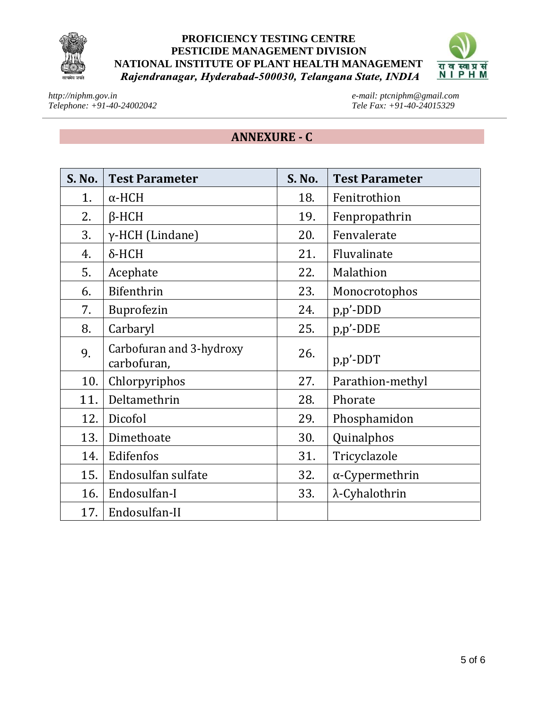



*[http://niphm.gov.in](http://niphm.gov.in/) Telephone: +91-40-24002042* *e-mail: [ptcniphm@gmail.com](mailto:ptcniphm@gmail.com)  Tele Fax: +91-40-24015329*

### **ANNEXURE - C**

| <b>S. No.</b> | <b>Test Parameter</b>                   | <b>S. No.</b> | <b>Test Parameter</b>  |
|---------------|-----------------------------------------|---------------|------------------------|
| 1.            | $\alpha$ -HCH                           | 18.           | Fenitrothion           |
| 2.            | $\beta$ -HCH                            | 19.           | Fenpropathrin          |
| 3.            | $\gamma$ -HCH (Lindane)                 | 20.           | Fenvalerate            |
| 4.            | $\delta$ -HCH                           | 21.           | Fluvalinate            |
| 5.            | Acephate                                | 22.           | Malathion              |
| 6.            | Bifenthrin                              | 23.           | Monocrotophos          |
| 7.            | <b>Buprofezin</b>                       | 24.           | p,p'-DDD               |
| 8.            | Carbaryl                                | 25.           | p,p'-DDE               |
| 9.            | Carbofuran and 3-hydroxy<br>carbofuran, | 26.           | $p, p'$ -DDT           |
| 10.           | Chlorpyriphos                           | 27.           | Parathion-methyl       |
| 11.           | Deltamethrin                            | 28.           | Phorate                |
| 12.           | Dicofol                                 | 29.           | Phosphamidon           |
| 13.           | Dimethoate                              | 30.           | Quinalphos             |
| 14.           | Edifenfos                               | 31.           | Tricyclazole           |
| 15.           | Endosulfan sulfate                      | 32.           | $\alpha$ -Cypermethrin |
| 16.           | Endosulfan-I                            | 33.           | $\lambda$ -Cyhalothrin |
| 17.           | Endosulfan-II                           |               |                        |